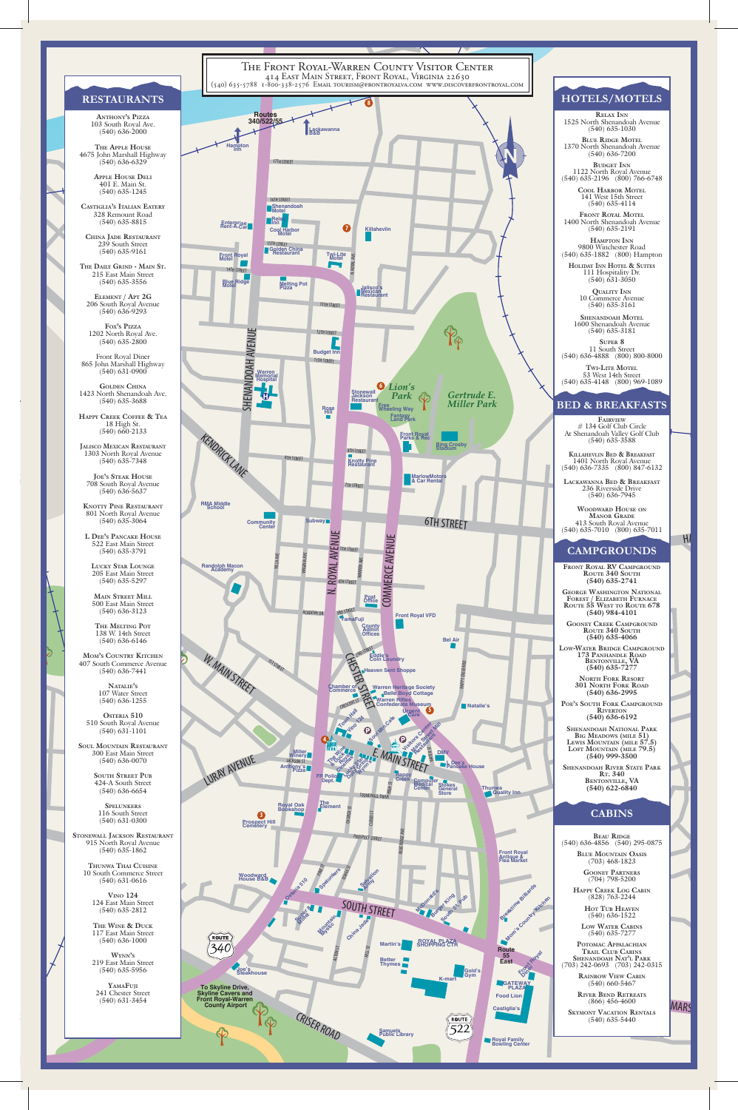

Front Royal Diner<br>Fohn Marshall Highw<br>(540) 631-0900<br>GOLDEN CHINA 865 John Marshall Highway (540) 631-0900



**LUCKY STAR LOUNGE** 205 East Main Street (540) 635-5297

 $\frac{1}{s}$ **SOUL MOUNTAIN RESTAURANT** 300 East Main Street (540) 636-0070

> **SOUTH STREET PUB** 424-A South Street (540) 636-6654

### **RESTAURANTS**

#### **BED & BREAKFASTS**

# **HOTELS/MOTELS**

**ANTHONY'S PIZZA** 103 South Royal Ave. (540) 636-2000

**THE APPLE HOUSE** 4675 John Marshall Highway (540) 636-6329

> **APPLE HOUSE DELI** 401 E. Main St. (540) 635-1245

**CASTIGLIA'S ITALIAN EATERY** 328 Remount Road (540) 635-8815

**CHINA JADE RESTAURANT** 239 South Street (540) 635-9161

**THE DAILY GRIND - MAIN ST.** 215 East Main Street (540) 635-3556

**ELEMENT / APT 2G** 206 South Royal Avenue (540) 636-9293

**FOX'S PIZZA** 1202 North Royal Ave. (540) 635-2800

**GOLDEN CHINA** 1423 North Shenandoah Ave. (540) 635-3688

**HAPPY CREEK COFFEE & TEA** 18 High St. (540) 660-2133

**JALISCO MEXICAN RESTAURANT** 1303 North Royal Avenue (540) 635-7348

**JOE'S STEAK HOUSE** 708 South Royal Avenue (540) 636-5637

**KNOTTY PINE RESTAURANT** 801 North Royal Avenue (540) 635-3064

**L DEE'S PANCAKE HOUSE** 522 East Main Street (540) 635-3791

**MAIN STREET MILL** 500 East Main Street (540) 636-3123

**THE MELTING POT** 138 W. 14th Street (540) 636-6146

**MOM'S COUNTRY KITCHEN** 407 South Commerce Avenue (540) 636-7441

> **NATALIE'S** 107 Water Street (540) 636-1255

**OSTERIA 510**  510 South Royal Avenue (540) 631-1101



**STONEWALL JACKSON RESTAURANT** 915 North Royal Avenue (540) 635-1862

#### **CABINS BEAU RIDGE** (540) 636-4856 (540) 295-0875 **BLUE MOUNTAIN OASIS** (703) 468-1823 **GOONEY PARTNERS** (704) 798-5200 **HAPPY CREEK LOG CABIN** (828) 763-2244 **HOT TUB HEAVEN** (540) 636-1522 **LOW WATER CABINS**

**THUNWA THAI CUISINE** 10 South Commerce Street (540) 631-0616

**VINO 124** 124 East Main Street (540) 635-2812

**THE WINE & DUCK** 117 East Main Street (540) 636-1000

**WYNN'S** 219 East Main Street (540) 635-5956

**YAMAFUJI** 241 Chester Street (540) 631-3454

**RELAX INN** 1525 North Shenandoah Avenue (540) 635-1030

**BLUE RIDGE MOTEL** 1370 North Shenandoah Avenue (540) 636-7200

**BUDGET INN** 1122 North Royal Avenue (540) 635-2196 (800) 766-6748

> **COOL HARBOR MOTEL** 141 West 15th Street (540) 635-4114

**FRONT ROYAL MOTEL** 1400 North Shenandoah Avenue (540) 635-2191

**HAMPTON INN** 9800 Winchester Road (540) 635-1882 (800) Hampton

**HOLIDAY INN HOTEL & SUITES** 111 Hospitality Dr. (540) 631-3050

> **QUALITY INN** 10 Commerce Avenue (540) 635-3161

**SHENANDOAH MOTEL** 1600 Shenandoah Avenue (540) 635-3181

**SUPER 8** 11 South Street (540) 636-4888 (800) 800-8000

**TWI-LITE MOTEL** 53 West 14th Street (540) 635-4148 (800) 969-1089

**FAIRVIEW** # 134 Golf Club Circle At Shenandoah Valley Golf Club (540) 635-3588

**KILLAHEVLIN BED & BREAKFAST** 1401 North Royal Avenue (540) 636-7335 (800) 847-6132

**LACKAWANNA BED & BREAKFAST** 236 Riverside Drive (540) 636-7945

**WOODWARD HOUSE ON MANOR GRADE** 413 South Royal Avenue (540) 635-7010 (800) 635-7011

 $H$ 

(540) 635-7277

**POTOMAC APPALACHIAN TRAIL CLUB CABINS SHENANDOAH NAT'L PARK** (703) 242-0693 (703) 242-0315

> **RAINBOW VIEW CABIN** (540) 660-5467

**RIVER BEND RETREATS** (866) 456-4600

MARS

**SKYMONT VACATION RENTALS** (540) 635-5440

#### **CAMPGROUNDS**

**FRONT ROYAL RV CAMPGROUND ROUTE 340 SOUTH (540) 635-2741**

**GEORGE WASHINGTON NATIONAL FOREST / ELIZABETH FURNACE ROUTE 55 WEST TO ROUTE 678 (540) 984-4101**

**GOONEY CREEK CAMPGROUND ROUTE 340 SOUTH (540) 635-4066**

**LOW-WATER BRIDGE CAMPGROUND 173 PANHANDLE ROAD BENTONVILLE, VA (540) 635-7277**

**NORTH FORK RESORT 301 NORTH FORK ROAD (540) 636-2995**

**POE'S SOUTH FORK CAMPGROUND RIVERTON (540) 636-6192**

**SHENANDOAH NATIONAL PARK BIG MEADOWS (MILE 51) LEWIS MOUNTAIN (MILE 57.5) LOFT MOUNTAIN (MILE 79.5) (540) 999-3500**

**SHENANDOAH RIVER STATE PARK RT. 340 BENTONVILLE, VA (540) 622-6840**